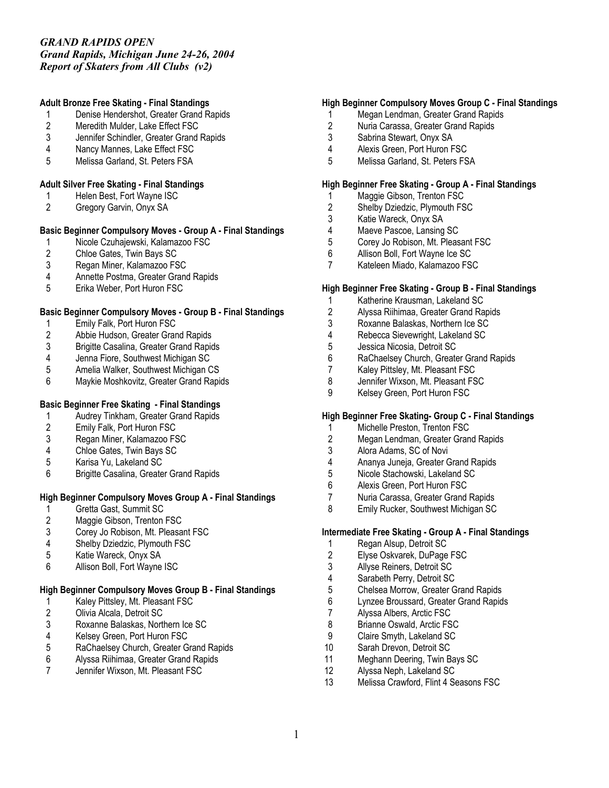# *Grand Rapids, Michigan June 24-26, 2004*

*Report of Skaters from All Clubs (v2)*

# **Adult Bronze Free Skating - Final Standings**

- 1 Denise Hendershot, Greater Grand Rapids
- 2 Meredith Mulder, Lake Effect FSC<br>3 Jennifer Schindler, Greater Grand
- 3 Jennifer Schindler, Greater Grand Rapids
- 4 Nancy Mannes, Lake Effect FSC
- 5 Melissa Garland, St. Peters FSA

# **Adult Silver Free Skating - Final Standings**

- 1 Helen Best, Fort Wayne ISC
- 2 Gregory Garvin, Onyx SA

# **Basic Beginner Compulsory Moves - Group A - Final Standings**

- 1 Nicole Czuhajewski, Kalamazoo FSC
- 2 Chloe Gates, Twin Bays SC<br>3 Regan Miner, Kalamazoo FS
- 3 Regan Miner, Kalamazoo FSC
- 4 Annette Postma, Greater Grand Rapids<br>5 Erika Weber. Port Huron FSC
- 5 Erika Weber, Port Huron FSC

# **Basic Beginner Compulsory Moves - Group B - Final Standings**

- 1 Emily Falk, Port Huron FSC<br>2 Abbie Hudson, Greater Gran
- 2 Abbie Hudson, Greater Grand Rapids<br>3 Brigitte Casalina, Greater Grand Rapic
- 3 Brigitte Casalina, Greater Grand Rapids
- 4 Jenna Fiore, Southwest Michigan SC<br>5 Amelia Walker, Southwest Michigan C
- 5 Amelia Walker, Southwest Michigan CS
- 6 Maykie Moshkovitz, Greater Grand Rapids

# **Basic Beginner Free Skating - Final Standings**

- 1 Audrey Tinkham, Greater Grand Rapids<br>2 Emily Falk, Port Huron FSC
- 2 Emily Falk, Port Huron FSC<br>3 Regan Miner. Kalamazoo FS
- 3 Regan Miner, Kalamazoo FSC
- 4 Chloe Gates, Twin Bays SC<br>5 Karisa Yu. Lakeland SC
- 5 Karisa Yu, Lakeland SC
- 6 Brigitte Casalina, Greater Grand Rapids

# **High Beginner Compulsory Moves Group A - Final Standings**

- 1 Gretta Gast, Summit SC<br>2 Maggie Gibson, Trenton
- 2 Maggie Gibson, Trenton FSC<br>3 Corey Jo Robison, Mt. Pleasa
- Corey Jo Robison, Mt. Pleasant FSC
- 4 Shelby Dziedzic, Plymouth FSC
- 5 Katie Wareck, Onyx SA
- 6 Allison Boll, Fort Wayne ISC

# **High Beginner Compulsory Moves Group B - Final Standings**

- 1 Kaley Pittsley, Mt. Pleasant FSC<br>2 Olivia Alcala, Detroit SC
- 2 Olivia Alcala, Detroit SC<br>3 Roxanne Balaskas, Nortl
- 3 Roxanne Balaskas, Northern Ice SC<br>4 Kelsev Green. Port Huron FSC
- Kelsey Green, Port Huron FSC
- 5 RaChaelsey Church, Greater Grand Rapids<br>6 Alyssa Riihimaa, Greater Grand Rapids
- 6 Alyssa Riihimaa, Greater Grand Rapids
- 7 Jennifer Wixson, Mt. Pleasant FSC

# **High Beginner Compulsory Moves Group C - Final Standings**

- 1 Megan Lendman, Greater Grand Rapids
- 2 Nuria Carassa, Greater Grand Rapids<br>3 Sabrina Stewart. Onvx SA
- Sabrina Stewart, Onyx SA
- 4 Alexis Green, Port Huron FSC
- 5 Melissa Garland, St. Peters FSA

# **High Beginner Free Skating - Group A - Final Standings**

- 1 Maggie Gibson, Trenton FSC
- 2 Shelby Dziedzic, Plymouth FSC<br>3 Katie Wareck. Onvx SA
- Katie Wareck, Onyx SA
- 4 Maeve Pascoe, Lansing SC
- 5 Corey Jo Robison, Mt. Pleasant FSC
- 6 Allison Boll, Fort Wayne Ice SC<br>7 Kateleen Miado, Kalamazoo FS
- Kateleen Miado, Kalamazoo FSC

# **High Beginner Free Skating - Group B - Final Standings**

- 1 Katherine Krausman, Lakeland SC<br>2 Alvssa Riihimaa, Greater Grand Ra
- 2 Alyssa Riihimaa, Greater Grand Rapids
- 3 Roxanne Balaskas, Northern Ice SC<br>4 Rebecca Sievewright, Lakeland SC
- 4 Rebecca Sievewright, Lakeland SC<br>5 Jessica Nicosia. Detroit SC
- 5 Jessica Nicosia, Detroit SC
- 6 RaChaelsey Church, Greater Grand Rapids
- Kaley Pittsley, Mt. Pleasant FSC
- 8 Jennifer Wixson, Mt. Pleasant FSC
- 9 Kelsey Green, Port Huron FSC

# **High Beginner Free Skating- Group C - Final Standings**

- 1 Michelle Preston, Trenton FSC<br>2 Megan Lendman, Greater Gran
- Megan Lendman, Greater Grand Rapids
- 3 Alora Adams, SC of Novi
- 4 Ananya Juneja, Greater Grand Rapids
- 5 Nicole Stachowski, Lakeland SC
- 6 Alexis Green, Port Huron FSC
- 7 Nuria Carassa, Greater Grand Rapids<br>8 Emily Rucker. Southwest Michigan SC
- Emily Rucker, Southwest Michigan SC

# **Intermediate Free Skating - Group A - Final Standings**

- 1 Regan Alsup, Detroit SC
- 2 Elyse Oskvarek, DuPage FSC<br>3 Allyse Reiners. Detroit SC
- 3 Allyse Reiners, Detroit SC
- 4 Sarabeth Perry, Detroit SC
- 5 Chelsea Morrow, Greater Grand Rapids
- 6 Lynzee Broussard, Greater Grand Rapids
- Alyssa Albers, Arctic FSC
- 8 Brianne Oswald, Arctic FSC
- 9 Claire Smyth, Lakeland SC
- 10 Sarah Drevon, Detroit SC
- 11 Meghann Deering, Twin Bays SC
- 12 Alyssa Neph, Lakeland SC
- 13 Melissa Crawford, Flint 4 Seasons FSC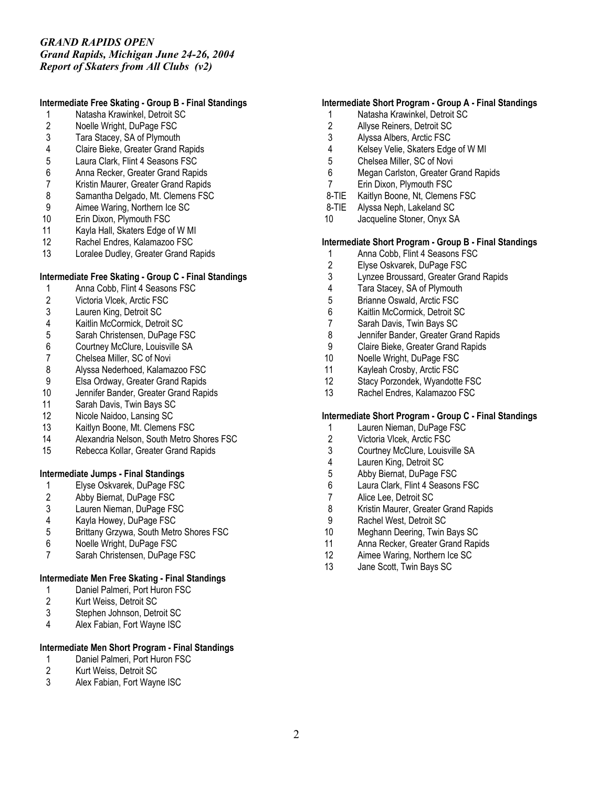### *Grand Rapids, Michigan June 24-26, 2004 Report of Skaters from All Clubs (v2)*

# **Intermediate Free Skating - Group B - Final Standings**

- 1 Natasha Krawinkel, Detroit SC<br>2 Noelle Wright, DuPage FSC
- 2 Noelle Wright, DuPage FSC<br>3 Tara Stacey, SA of Plymouth
- 3 Tara Stacey, SA of Plymouth<br>4 Claire Bieke. Greater Grand F
- 4 Claire Bieke, Greater Grand Rapids
- 5 Laura Clark, Flint 4 Seasons FSC<br>6 Anna Recker. Greater Grand Rapi
- 6 Anna Recker, Greater Grand Rapids
- 7 Kristin Maurer, Greater Grand Rapids
- 8 Samantha Delgado, Mt. Clemens FSC
- 9 Aimee Waring, Northern Ice SC<br>10 Erin Dixon, Plymouth FSC
- Erin Dixon, Plymouth FSC
- 11 Kayla Hall, Skaters Edge of W MI
- 12 Rachel Endres, Kalamazoo FSC
- 13 Loralee Dudley, Greater Grand Rapids

# **Intermediate Free Skating - Group C - Final Standings**

- 1 Anna Cobb, Flint 4 Seasons FSC
- 2 Victoria Vlcek, Arctic FSC<br>3 Lauren King, Detroit SC
- Lauren King, Detroit SC
- 4 Kaitlin McCormick, Detroit SC<br>5 Sarah Christensen, DuPage F
- 5 Sarah Christensen, DuPage FSC<br>6 Courtney McClure, Louisville SA
- 6 Courtney McClure, Louisville SA
- 7 Chelsea Miller, SC of Novi<br>8 Alvssa Nederhoed. Kalama
- 8 Alyssa Nederhoed, Kalamazoo FSC
- 9 Elsa Ordway, Greater Grand Rapids
- 10 Jennifer Bander, Greater Grand Rapids
- 11 Sarah Davis, Twin Bays SC<br>12 Nicole Naidoo, Lansing SC
- Nicole Naidoo, Lansing SC
- 13 Kaitlyn Boone, Mt. Clemens FSC
- 14 Alexandria Nelson, South Metro Shores FSC
- 15 Rebecca Kollar, Greater Grand Rapids

# **Intermediate Jumps - Final Standings**

- 1 Elyse Oskvarek, DuPage FSC
- 2 Abby Biernat, DuPage FSC<br>3 Lauren Nieman, DuPage FS
- Lauren Nieman, DuPage FSC
- 4 Kayla Howey, DuPage FSC<br>5 Brittany Grzywa, South Metr
- 5 Brittany Grzywa, South Metro Shores FSC
- 6 Noelle Wright, DuPage FSC
- 7 Sarah Christensen, DuPage FSC

# **Intermediate Men Free Skating - Final Standings**

- 1 Daniel Palmeri, Port Huron FSC
- 2 Kurt Weiss, Detroit SC<br>3 Stephen Johnson, Detr
- Stephen Johnson, Detroit SC
- 4 Alex Fabian, Fort Wayne ISC

# **Intermediate Men Short Program - Final Standings**

- 1 Daniel Palmeri, Port Huron FSC
- 2 Kurt Weiss, Detroit SC<br>3 Alex Fabian. Fort Wavr
- Alex Fabian, Fort Wayne ISC

# **Intermediate Short Program - Group A - Final Standings**

- 1 Natasha Krawinkel, Detroit SC
- 2 Allyse Reiners, Detroit SC<br>3 Alvssa Albers, Arctic FSC
- Alyssa Albers, Arctic FSC
- 4 Kelsey Velie, Skaters Edge of W MI
- 5 Chelsea Miller, SC of Novi
- 6 Megan Carlston, Greater Grand Rapids
- 7 Erin Dixon, Plymouth FSC
- 8-TIE Kaitlyn Boone, Nt, Clemens FSC
- 8-TIE Alyssa Neph, Lakeland SC
- 10 Jacqueline Stoner, Onyx SA

### **Intermediate Short Program - Group B - Final Standings**

- 1 Anna Cobb, Flint 4 Seasons FSC<br>2 Elvse Oskvarek. DuPage FSC
- 2 Elyse Oskvarek, DuPage FSC
- 3 Lynzee Broussard, Greater Grand Rapids
- 4 Tara Stacey, SA of Plymouth
- 5 Brianne Oswald, Arctic FSC<br>6 Kaitlin McCormick, Detroit SO
- Kaitlin McCormick, Detroit SC
- 7 Sarah Davis, Twin Bays SC
- 8 Jennifer Bander, Greater Grand Rapids
- 9 Claire Bieke, Greater Grand Rapids
- 10 Noelle Wright, DuPage FSC
- 11 Kayleah Crosby, Arctic FSC
- 12 Stacy Porzondek, Wyandotte FSC
- 13 Rachel Endres, Kalamazoo FSC

# **Intermediate Short Program - Group C - Final Standings**

- 1 Lauren Nieman, DuPage FSC
- 2 Victoria Vlcek, Arctic FSC
- 3 Courtney McClure, Louisville SA
- 4 Lauren King, Detroit SC
- 5 Abby Biernat, DuPage FSC
- 6 Laura Clark, Flint 4 Seasons FSC
- 7 Alice Lee, Detroit SC<br>8 Kristin Maurer, Greate
- Kristin Maurer, Greater Grand Rapids
- 9 Rachel West, Detroit SC<br>10 Meghann Deering, Twin
- Meghann Deering, Twin Bays SC
- 11 Anna Recker, Greater Grand Rapids
- 12 Aimee Waring, Northern Ice SC
- 13 Jane Scott, Twin Bays SC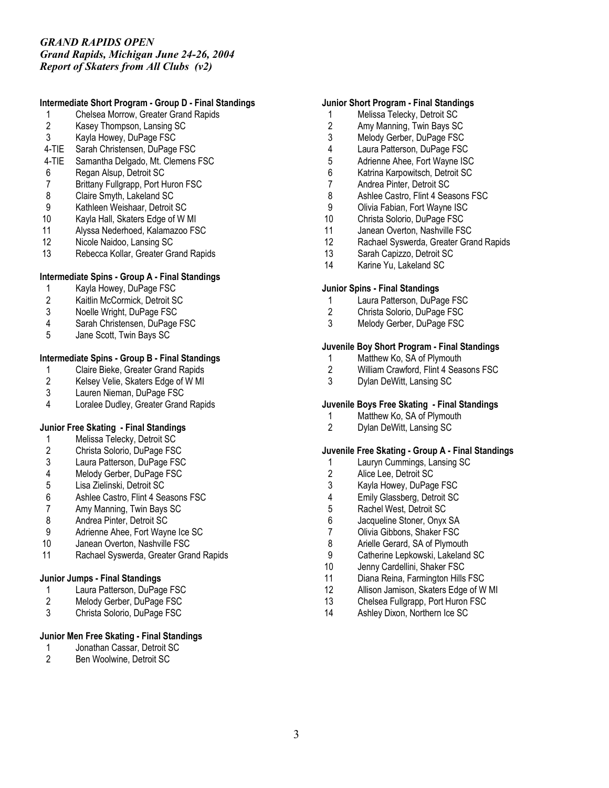### *Grand Rapids, Michigan June 24-26, 2004 Report of Skaters from All Clubs (v2)*

# **Intermediate Short Program - Group D - Final Standings**

- 1 Chelsea Morrow, Greater Grand Rapids<br>2 Kasey Thompson, Lansing SC
- 2 Kasey Thompson, Lansing SC<br>3 Kavla Howev. DuPage FSC
- Kayla Howey, DuPage FSC
- 4-TIE Sarah Christensen, DuPage FSC
- 4-TIE Samantha Delgado, Mt. Clemens FSC
- 6 Regan Alsup, Detroit SC
- 7 Brittany Fullgrapp, Port Huron FSC
- 8 Claire Smyth, Lakeland SC
- 9 Kathleen Weishaar, Detroit SC<br>10 Kayla Hall, Skaters Edge of W1
- Kayla Hall, Skaters Edge of W MI
- 11 Alyssa Nederhoed, Kalamazoo FSC
- 12 Nicole Naidoo, Lansing SC
- 13 Rebecca Kollar, Greater Grand Rapids

# **Intermediate Spins - Group A - Final Standings**

- 1 Kayla Howey, DuPage FSC
- 
- 2 Kaitlin McCormick, Detroit SC<br>3 Noelle Wright, DuPage FSC Noelle Wright, DuPage FSC
- 4 Sarah Christensen, DuPage FSC
- Jane Scott, Twin Bays SC

# **Intermediate Spins - Group B - Final Standings**

- 1 Claire Bieke, Greater Grand Rapids
- 2 Kelsey Velie, Skaters Edge of W MI
- 3 Lauren Nieman, DuPage FSC
- 4 Loralee Dudley, Greater Grand Rapids

# **Junior Free Skating - Final Standings**

- 1 Melissa Telecky, Detroit SC
- 2 Christa Solorio, DuPage FSC
- Laura Patterson, DuPage FSC
- 4 Melody Gerber, DuPage FSC<br>5 Lisa Zielinski, Detroit SC
- 5 Lisa Zielinski, Detroit SC
- 6 Ashlee Castro, Flint 4 Seasons FSC<br>7 Amy Manning, Twin Bays SC
- Amy Manning, Twin Bays SC
- 8 Andrea Pinter, Detroit SC<br>9 Adrienne Ahee. Fort Wavi
- Adrienne Ahee, Fort Wayne Ice SC
- 10 Janean Overton, Nashville FSC
- 11 Rachael Syswerda, Greater Grand Rapids

### **Junior Jumps - Final Standings**

- 1 Laura Patterson, DuPage FSC
- 2 Melody Gerber, DuPage FSC<br>3 Christa Solorio, DuPage FSC
- 3 Christa Solorio, DuPage FSC

# **Junior Men Free Skating - Final Standings**

- 1 Jonathan Cassar, Detroit SC<br>2 Ben Woolwine Detroit SC
- 2 Ben Woolwine, Detroit SC

### **Junior Short Program - Final Standings**

- Melissa Telecky, Detroit SC
- 2 Amy Manning, Twin Bays SC<br>3 Melody Gerber. DuPage FSC
- Melody Gerber, DuPage FSC
- 4 Laura Patterson, DuPage FSC
- 5 Adrienne Ahee, Fort Wayne ISC
- 6 Katrina Karpowitsch, Detroit SC
- 7 Andrea Pinter, Detroit SC
- 8 Ashlee Castro, Flint 4 Seasons FSC
- 9 Olivia Fabian, Fort Wayne ISC
- 10 Christa Solorio, DuPage FSC
- 11 Janean Overton, Nashville FSC
- 12 Rachael Syswerda, Greater Grand Rapids
- 13 Sarah Capizzo, Detroit SC
- 14 Karine Yu, Lakeland SC

### **Junior Spins - Final Standings**

- 1 Laura Patterson, DuPage FSC<br>2 Christa Solorio, DuPage FSC
- 2 Christa Solorio, DuPage FSC
- 3 Melody Gerber, DuPage FSC

### **Juvenile Boy Short Program - Final Standings**

- 1 Matthew Ko, SA of Plymouth<br>2 William Crawford. Flint 4 Sea
- William Crawford, Flint 4 Seasons FSC
- 3 Dylan DeWitt, Lansing SC

# **Juvenile Boys Free Skating - Final Standings**

- 1 Matthew Ko, SA of Plymouth<br>2 Dylan DeWitt, Lansing SC
- 2 Dylan DeWitt, Lansing SC

### **Juvenile Free Skating - Group A - Final Standings**

- 1 Lauryn Cummings, Lansing SC
- 2 Alice Lee, Detroit SC
- 3 Kayla Howey, DuPage FSC
- 4 Emily Glassberg, Detroit SC<br>5 Rachel West, Detroit SC
- 5 Rachel West, Detroit SC
- 6 Jacqueline Stoner, Onyx SA
- 7 Olivia Gibbons, Shaker FSC
- 8 Arielle Gerard, SA of Plymouth
- 9 Catherine Lepkowski, Lakeland SC
- 10 Jenny Cardellini, Shaker FSC
- 11 Diana Reina, Farmington Hills FSC
- 12 Allison Jamison, Skaters Edge of W MI
- 13 Chelsea Fullgrapp, Port Huron FSC
- 14 Ashley Dixon, Northern Ice SC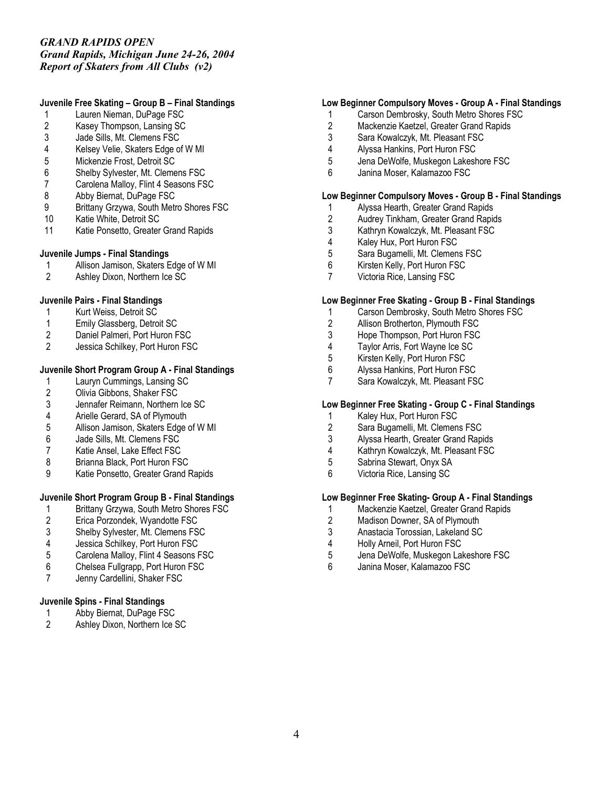## *Grand Rapids, Michigan June 24-26, 2004 Report of Skaters from All Clubs (v2)*

# **Juvenile Free Skating – Group B – Final Standings**

- 1 Lauren Nieman, DuPage FSC
- 2 Kasey Thompson, Lansing SC<br>3 Jade Sills, Mt. Clemens FSC
- Jade Sills, Mt. Clemens FSC
- 4 Kelsey Velie, Skaters Edge of W MI
- 5 Mickenzie Frost, Detroit SC<br>6 Shelby Sylvester. Mt. Cleme
- 6 Shelby Sylvester, Mt. Clemens FSC
- 7 Carolena Malloy, Flint 4 Seasons FSC
- 8 Abby Biernat, DuPage FSC
- 9 Brittany Grzywa, South Metro Shores FSC
- 10 Katie White, Detroit SC
- 11 Katie Ponsetto, Greater Grand Rapids

# **Juvenile Jumps - Final Standings**

- 1 Allison Jamison, Skaters Edge of W MI
- 2 Ashley Dixon, Northern Ice SC

# **Juvenile Pairs - Final Standings**

- 1 Kurt Weiss, Detroit SC
- 1 Emily Glassberg, Detroit SC<br>2 Daniel Palmeri, Port Huron F
- 2 Daniel Palmeri, Port Huron FSC<br>2 Jessica Schilkev. Port Huron FS
- Jessica Schilkey, Port Huron FSC

# **Juvenile Short Program Group A - Final Standings**

- 1 Lauryn Cummings, Lansing SC
- 2 Olivia Gibbons, Shaker FSC
- 3 Jennafer Reimann, Northern Ice SC<br>4 Arielle Gerard. SA of Plymouth
- 4 Arielle Gerard, SA of Plymouth<br>5 Allison Jamison, Skaters Edge
- Allison Jamison, Skaters Edge of W MI
- 6 Jade Sills, Mt. Clemens FSC
- 7 Katie Ansel, Lake Effect FSC
- 8 Brianna Black, Port Huron FSC
- 9 Katie Ponsetto, Greater Grand Rapids

# **Juvenile Short Program Group B - Final Standings**

- 1 Brittany Grzywa, South Metro Shores FSC
- 2 Erica Porzondek, Wyandotte FSC<br>3 Shelby Sylvester, Mt. Clemens FS
- 3 Shelby Sylvester, Mt. Clemens FSC
- 4 Jessica Schilkey, Port Huron FSC
- 5 Carolena Malloy, Flint 4 Seasons FSC
- 6 Chelsea Fullgrapp, Port Huron FSC
- 7 Jenny Cardellini, Shaker FSC

# **Juvenile Spins - Final Standings**

- 1 Abby Biernat, DuPage FSC<br>2 Ashley Dixon, Northern Ice 9
- 2 Ashley Dixon, Northern Ice SC

# **Low Beginner Compulsory Moves - Group A - Final Standings**

- 1 Carson Dembrosky, South Metro Shores FSC
- 2 Mackenzie Kaetzel, Greater Grand Rapids<br>3 Sara Kowalczyk. Mt. Pleasant FSC
- Sara Kowalczyk, Mt. Pleasant FSC
- 4 Alyssa Hankins, Port Huron FSC
- 5 Jena DeWolfe, Muskegon Lakeshore FSC
- 6 Janina Moser, Kalamazoo FSC

### **Low Beginner Compulsory Moves - Group B - Final Standings**

- 1 Alyssa Hearth, Greater Grand Rapids<br>2 Audrey Tinkham, Greater Grand Rapid
- 2 Audrey Tinkham, Greater Grand Rapids<br>3 Kathryn Kowalczyk, Mt. Pleasant FSC
- Kathryn Kowalczyk, Mt. Pleasant FSC
- 4 Kaley Hux, Port Huron FSC
- 5 Sara Bugamelli, Mt. Clemens FSC
- 6 Kirsten Kelly, Port Huron FSC
- 7 Victoria Rice, Lansing FSC

# **Low Beginner Free Skating - Group B - Final Standings**

- 1 Carson Dembrosky, South Metro Shores FSC
- 2 Allison Brotherton, Plymouth FSC
- 3 Hope Thompson, Port Huron FSC
- 4 Taylor Arris, Fort Wayne Ice SC
- 5 Kirsten Kelly, Port Huron FSC
- 6 Alyssa Hankins, Port Huron FSC
- 7 Sara Kowalczyk, Mt. Pleasant FSC

# **Low Beginner Free Skating - Group C - Final Standings**

- 1 Kaley Hux, Port Huron FSC<br>2 Sara Bugamelli, Mt. Clemen
- Sara Bugamelli, Mt. Clemens FSC
- 3 Alyssa Hearth, Greater Grand Rapids
- 4 Kathryn Kowalczyk, Mt. Pleasant FSC<br>5 Sabrina Stewart. Onvx SA
- 5 Sabrina Stewart, Onyx SA
- 6 Victoria Rice, Lansing SC

# **Low Beginner Free Skating- Group A - Final Standings**

- 1 Mackenzie Kaetzel, Greater Grand Rapids
- 2 Madison Downer, SA of Plymouth<br>3 Anastacia Torossian. Lakeland SC
- 3 Anastacia Torossian, Lakeland SC
- 4 Holly Arneil, Port Huron FSC
- 5 Jena DeWolfe, Muskegon Lakeshore FSC
- 6 Janina Moser, Kalamazoo FSC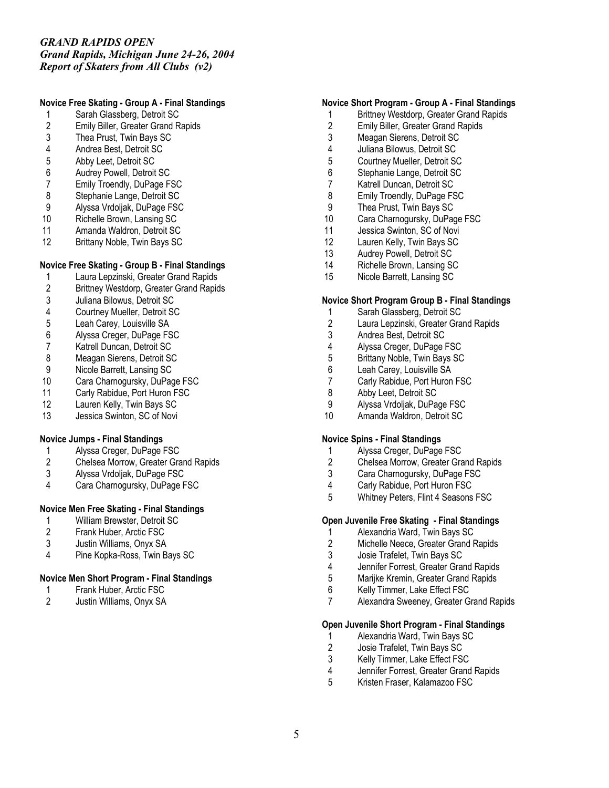### *Grand Rapids, Michigan June 24-26, 2004 Report of Skaters from All Clubs (v2)*

# **Novice Free Skating - Group A - Final Standings**

- 1 Sarah Glassberg, Detroit SC
- 2 Emily Biller, Greater Grand Rapids<br>3 Thea Prust, Twin Bays SC
- 3 Thea Prust, Twin Bays SC<br>4 Andrea Best. Detroit SC
- 4 Andrea Best, Detroit SC
- 5 Abby Leet, Detroit SC
- 6 Audrey Powell, Detroit SC
- 7 Emily Troendly, DuPage FSC
- 8 Stephanie Lange, Detroit SC
- 9 Alyssa Vrdoljak, DuPage FSC<br>10 Richelle Brown, Lansing SC
- Richelle Brown, Lansing SC
- 11 Amanda Waldron, Detroit SC
- 12 Brittany Noble, Twin Bays SC

# **Novice Free Skating - Group B - Final Standings**

- 1 Laura Lepzinski, Greater Grand Rapids<br>2 Brittnev Westdorp. Greater Grand Rapid
- 2 Brittney Westdorp, Greater Grand Rapids
- 3 Juliana Bilowus, Detroit SC<br>4 Courtney Mueller. Detroit SO
- Courtney Mueller, Detroit SC
- 
- 5 Leah Carey, Louisville SA<br>6 Alyssa Creger, DuPage FS
- 6 Alyssa Creger, DuPage FSC Katrell Duncan, Detroit SC
- 
- 8 Meagan Sierens, Detroit SC<br>9 Nicole Barrett. Lansing SC 9 Nicole Barrett, Lansing SC
- 10 Cara Charnogursky, DuPage FSC
- 11 Carly Rabidue, Port Huron FSC
- 
- 12 Lauren Kelly, Twin Bays SC<br>13 Jessica Swinton. SC of Novi Jessica Swinton, SC of Novi

### **Novice Jumps - Final Standings**

- 1 Alyssa Creger, DuPage FSC<br>2 Chelsea Morrow. Greater Gra
- 2 Chelsea Morrow, Greater Grand Rapids
- 3 Alyssa Vrdoljak, DuPage FSC
- 4 Cara Charnogursky, DuPage FSC

# **Novice Men Free Skating - Final Standings**

- 1 William Brewster, Detroit SC<br>2 Frank Huber, Arctic FSC
- Frank Huber, Arctic FSC
- 3 Justin Williams, Onyx SA
- 4 Pine Kopka-Ross, Twin Bays SC

# **Novice Men Short Program - Final Standings**

- 1 Frank Huber, Arctic FSC
- 2 Justin Williams, Onyx SA

# **Novice Short Program - Group A - Final Standings**

- Brittney Westdorp, Greater Grand Rapids
- 2 Emily Biller, Greater Grand Rapids<br>3 Meagan Sierens, Detroit SC
- 3 Meagan Sierens, Detroit SC
- 4 Juliana Bilowus, Detroit SC
- 5 Courtney Mueller, Detroit SC
- 6 Stephanie Lange, Detroit SC
- 7 Katrell Duncan, Detroit SC
- 8 Emily Troendly, DuPage FSC
- 9 Thea Prust, Twin Bays SC<br>10 Cara Charnogursky, DuPac
- Cara Charnogursky, DuPage FSC
- 11 Jessica Swinton, SC of Novi
- 12 Lauren Kelly, Twin Bays SC
- 13 Audrey Powell, Detroit SC
- 14 Richelle Brown, Lansing SC
- 15 Nicole Barrett, Lansing SC

### **Novice Short Program Group B - Final Standings**

- 1 Sarah Glassberg, Detroit SC<br>2 Laura Lepzinski, Greater Gra
- Laura Lepzinski, Greater Grand Rapids
- 3 Andrea Best, Detroit SC
- 4 Alyssa Creger, DuPage FSC
- 5 Brittany Noble, Twin Bays SC<br>6 Leah Carev. Louisville SA
- Leah Carey, Louisville SA
- 7 Carly Rabidue, Port Huron FSC
- 8 Abby Leet, Detroit SC
- 9 Alyssa Vrdoljak, DuPage FSC
- 10 Amanda Waldron, Detroit SC

### **Novice Spins - Final Standings**

- 1 Alyssa Creger, DuPage FSC<br>2 Chelsea Morrow. Greater Gra
- 2 Chelsea Morrow, Greater Grand Rapids
- 3 Cara Charnogursky, DuPage FSC
- 4 Carly Rabidue, Port Huron FSC
- 5 Whitney Peters, Flint 4 Seasons FSC

### **Open Juvenile Free Skating - Final Standings**

- 1 Alexandria Ward, Twin Bays SC
- 2 Michelle Neece, Greater Grand Rapids
- 3 Josie Trafelet, Twin Bays SC<br>4 Jennifer Forrest, Greater Grai
- 4 Jennifer Forrest, Greater Grand Rapids
- 5 Marijke Kremin, Greater Grand Rapids
- 6 Kelly Timmer, Lake Effect FSC
- 7 Alexandra Sweeney, Greater Grand Rapids

### **Open Juvenile Short Program - Final Standings**

- Alexandria Ward, Twin Bays SC
- 2 Josie Trafelet, Twin Bays SC
- 3 Kelly Timmer, Lake Effect FSC
- 4 Jennifer Forrest, Greater Grand Rapids<br>5 Kristen Fraser Kalamazoo FSC
- 5 Kristen Fraser, Kalamazoo FSC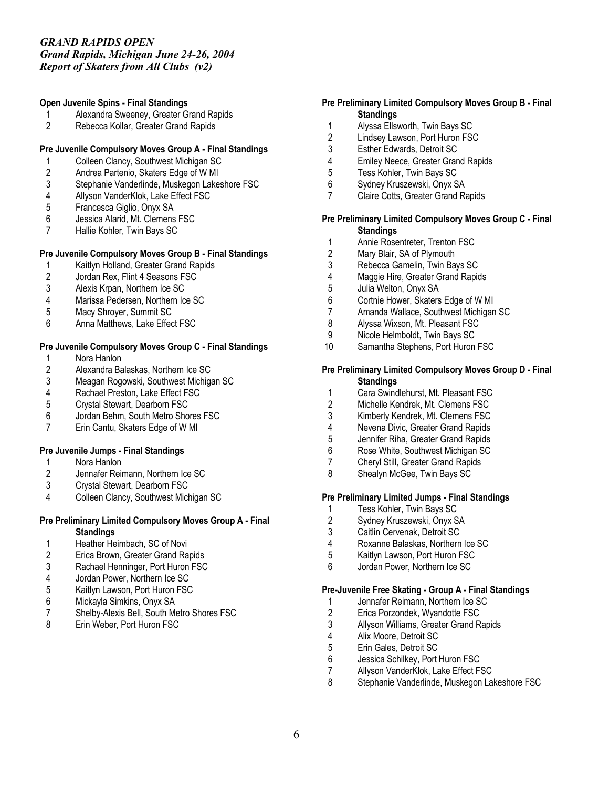# *Grand Rapids, Michigan June 24-26, 2004*

*Report of Skaters from All Clubs (v2)*

# **Open Juvenile Spins - Final Standings**

- Alexandra Sweeney, Greater Grand Rapids
- 2 Rebecca Kollar, Greater Grand Rapids

# **Pre Juvenile Compulsory Moves Group A - Final Standings**

- 1 Colleen Clancy, Southwest Michigan SC<br>2 Andrea Partenio, Skaters Edge of W MI
- 2 Andrea Partenio, Skaters Edge of W MI
- 3 Stephanie Vanderlinde, Muskegon Lakeshore FSC
- Allyson VanderKlok, Lake Effect FSC
- 
- 5 Francesca Giglio, Onyx SA<br>6 Jessica Alarid, Mt. Clemens 6 Jessica Alarid, Mt. Clemens FSC
- Hallie Kohler, Twin Bays SC

# **Pre Juvenile Compulsory Moves Group B - Final Standings**

- 1 Kaitlyn Holland, Greater Grand Rapids
- 2 Jordan Rex, Flint 4 Seasons FSC<br>3 Alexis Krpan, Northern Ice SC
- 3 Alexis Krpan, Northern Ice SC
- 4 Marissa Pedersen, Northern Ice SC<br>5 Macy Shrover, Summit SC
- 5 Macy Shroyer, Summit SC
- 6 Anna Matthews, Lake Effect FSC

# **Pre Juvenile Compulsory Moves Group C - Final Standings**

- 1 Nora Hanlon<br>2 Alexandra Ba
- 2 Alexandra Balaskas, Northern Ice SC
- 3 Meagan Rogowski, Southwest Michigan SC
- 4 Rachael Preston, Lake Effect FSC
- 5 Crystal Stewart, Dearborn FSC<br>6 Jordan Behm, South Metro Sho
- Jordan Behm, South Metro Shores FSC
- 7 Erin Cantu, Skaters Edge of W MI

# **Pre Juvenile Jumps - Final Standings**

- 1 Nora Hanlon
- 2 Jennafer Reimann, Northern Ice SC
- 3 Crystal Stewart, Dearborn FSC
- 4 Colleen Clancy, Southwest Michigan SC

# **Pre Preliminary Limited Compulsory Moves Group A - Final Standings**

- 1 Heather Heimbach, SC of Novi
- 2 Erica Brown, Greater Grand Rapids<br>3 Rachael Henninger, Port Huron FSC
- Rachael Henninger, Port Huron FSC
- 4 Jordan Power, Northern Ice SC
- 5 Kaitlyn Lawson, Port Huron FSC
- 
- 6 Mickayla Simkins, Onyx SA Shelby-Alexis Bell, South Metro Shores FSC
- 8 Erin Weber, Port Huron FSC

# **Pre Preliminary Limited Compulsory Moves Group B - Final Standings**

- 1 Alyssa Ellsworth, Twin Bays SC<br>2 Lindsev Lawson. Port Huron FS
- Lindsey Lawson, Port Huron FSC
- 3 Esther Edwards, Detroit SC
- 4 Emiley Neece, Greater Grand Rapids<br>5 Tess Kohler. Twin Bavs SC
- 5 Tess Kohler, Twin Bays SC
- 6 Sydney Kruszewski, Onyx SA
- 7 Claire Cotts, Greater Grand Rapids

# **Pre Preliminary Limited Compulsory Moves Group C - Final Standings**

- 1 Annie Rosentreter, Trenton FSC
- 2 Mary Blair, SA of Plymouth
- 3 Rebecca Gamelin, Twin Bays SC
- 4 Maggie Hire, Greater Grand Rapids<br>5 Julia Welton. Onvx SA
- 5 Julia Welton, Onyx SA
- 6 Cortnie Hower, Skaters Edge of W MI<br>7 Amanda Wallace, Southwest Michigan
- 7 Amanda Wallace, Southwest Michigan SC
- 8 Alyssa Wixson, Mt. Pleasant FSC
- 9 Nicole Helmboldt, Twin Bays SC
- 10 Samantha Stephens, Port Huron FSC

### **Pre Preliminary Limited Compulsory Moves Group D - Final Standings**

- 1 Cara Swindlehurst, Mt. Pleasant FSC
- 2 Michelle Kendrek, Mt. Clemens FSC<br>3 Kimberly Kendrek, Mt. Clemens FSC
- Kimberly Kendrek, Mt. Clemens FSC
- 4 Nevena Divic, Greater Grand Rapids
- 5 Jennifer Riha, Greater Grand Rapids
- 6 Rose White, Southwest Michigan SC<br>7 Chervl Still Greater Grand Rapids
- 7 Cheryl Still, Greater Grand Rapids
- 8 Shealyn McGee, Twin Bays SC

# **Pre Preliminary Limited Jumps - Final Standings**

- 1 Tess Kohler, Twin Bays SC<br>2 Sydnev Kruszewski. Onvx S
- 2 Sydney Kruszewski, Onyx SA<br>3 Caitlin Cervenak Detroit SC
- Caitlin Cervenak, Detroit SC
- 4 Roxanne Balaskas, Northern Ice SC
- 5 Kaitlyn Lawson, Port Huron FSC
- 6 Jordan Power, Northern Ice SC

# **Pre-Juvenile Free Skating - Group A - Final Standings**

- 1 Jennafer Reimann, Northern Ice SC<br>2 Erica Porzondek. Wyandotte FSC
- 2 Erica Porzondek, Wyandotte FSC<br>3 Allyson Williams, Greater Grand R
- Allyson Williams, Greater Grand Rapids
- 4 Alix Moore, Detroit SC
- 5 Erin Gales, Detroit SC
- 6 Jessica Schilkey, Port Huron FSC
- 7 Allyson VanderKlok, Lake Effect FSC
- 8 Stephanie Vanderlinde, Muskegon Lakeshore FSC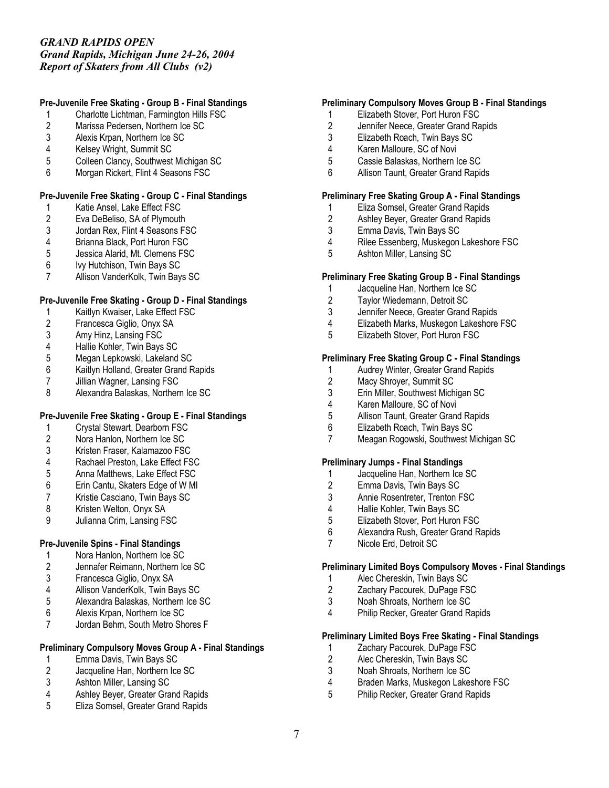# *Grand Rapids, Michigan June 24-26, 2004*

*Report of Skaters from All Clubs (v2)*

# **Pre-Juvenile Free Skating - Group B - Final Standings**

- 1 Charlotte Lichtman, Farmington Hills FSC
- 2 Marissa Pedersen, Northern Ice SC<br>3 Alexis Kroan, Northern Ice SC
- 3 Alexis Krpan, Northern Ice SC<br>4 Kelsev Wright, Summit SC
- 4 Kelsey Wright, Summit SC
- 5 Colleen Clancy, Southwest Michigan SC
- 6 Morgan Rickert, Flint 4 Seasons FSC

# **Pre-Juvenile Free Skating - Group C - Final Standings**

- 1 Katie Ansel, Lake Effect FSC<br>2 Eva DeBeliso, SA of Plymouth
- 2 Eva DeBeliso, SA of Plymouth<br>3 Jordan Rex, Flint 4 Seasons FS
- Jordan Rex, Flint 4 Seasons FSC
- 4 Brianna Black, Port Huron FSC
- 5 Jessica Alarid, Mt. Clemens FSC
- 6 Ivy Hutchison, Twin Bays SC
- 7 Allison VanderKolk, Twin Bays SC

# **Pre-Juvenile Free Skating - Group D - Final Standings**

- 1 Kaitlyn Kwaiser, Lake Effect FSC<br>2 Francesca Giglio, Onyx SA
- 2 Francesca Giglio, Onyx SA<br>3 Amy Hinz, Lansing FSC
- Amy Hinz, Lansing FSC
- 4 Hallie Kohler, Twin Bays SC
- 
- 5 Megan Lepkowski, Lakeland SC<br>6 Kaitlyn Holland. Greater Grand R 6 Kaitlyn Holland, Greater Grand Rapids
- 7 Jillian Wagner, Lansing FSC
- 8 Alexandra Balaskas, Northern Ice SC

# **Pre-Juvenile Free Skating - Group E - Final Standings**

- 1 Crystal Stewart, Dearborn FSC<br>2 Nora Hanlon, Northern Ice SC
- 2 Nora Hanlon, Northern Ice SC
- 3 Kristen Fraser, Kalamazoo FSC
- 4 Rachael Preston, Lake Effect FSC
- 5 Anna Matthews, Lake Effect FSC
- 6 Erin Cantu, Skaters Edge of W MI
- 7 Kristie Casciano, Twin Bays SC<br>8 Kristen Welton, Onyx SA
- 8 Kristen Welton, Onyx SA
- 9 Julianna Crim, Lansing FSC

# **Pre-Juvenile Spins - Final Standings**

- 1 Nora Hanlon, Northern Ice SC<br>2 Jennafer Reimann, Northern Ic
- 2 Jennafer Reimann, Northern Ice SC
- 3 Francesca Giglio, Onyx SA
- 4 Allison VanderKolk, Twin Bays SC
- 5 Alexandra Balaskas, Northern Ice SC<br>6 Alexis Kroan, Northern Ice SC
- 6 Alexis Krpan, Northern Ice SC
- 7 Jordan Behm, South Metro Shores F

# **Preliminary Compulsory Moves Group A - Final Standings**

- 1 Emma Davis, Twin Bays SC
- 2 Jacqueline Han, Northern Ice SC<br>3 Ashton Miller. Lansing SC
- 3 Ashton Miller, Lansing SC
- 4 Ashley Beyer, Greater Grand Rapids<br>5 Eliza Somsel. Greater Grand Rapids
- 5 Eliza Somsel, Greater Grand Rapids

# **Preliminary Compulsory Moves Group B - Final Standings**

- 1 Elizabeth Stover, Port Huron FSC
- 2 Jennifer Neece, Greater Grand Rapids<br>3 Flizabeth Roach Twin Bays SC
- 3 Elizabeth Roach, Twin Bays SC
- 4 Karen Malloure, SC of Novi
- 5 Cassie Balaskas, Northern Ice SC
- 6 Allison Taunt, Greater Grand Rapids

# **Preliminary Free Skating Group A - Final Standings**

- 1 Eliza Somsel, Greater Grand Rapids<br>2 Ashlev Bever. Greater Grand Rapids
- 2 Ashley Beyer, Greater Grand Rapids<br>3 Emma Davis, Twin Bays SC
- 3 Emma Davis, Twin Bays SC
- 4 Rilee Essenberg, Muskegon Lakeshore FSC
- 5 Ashton Miller, Lansing SC

# **Preliminary Free Skating Group B - Final Standings**

- 1 Jacqueline Han, Northern Ice SC
- 
- 2 Taylor Wiedemann, Detroit SC<br>3 Jennifer Neece. Greater Grand Jennifer Neece, Greater Grand Rapids
- 4 Elizabeth Marks, Muskegon Lakeshore FSC
- 5 Elizabeth Stover, Port Huron FSC

# **Preliminary Free Skating Group C - Final Standings**

- 1 Audrey Winter, Greater Grand Rapids
- 2 Macy Shroyer, Summit SC
- 3 Erin Miller, Southwest Michigan SC
- 4 Karen Malloure, SC of Novi<br>5 Allison Taunt, Greater Grang
- 5 Allison Taunt, Greater Grand Rapids
- 6 Elizabeth Roach, Twin Bays SC
- 7 Meagan Rogowski, Southwest Michigan SC

# **Preliminary Jumps - Final Standings**

- 1 Jacqueline Han, Northern Ice SC<br>2 Emma Davis. Twin Bavs SC
- 2 Emma Davis, Twin Bays SC
- 3 Annie Rosentreter, Trenton FSC<br>4 Hallie Kohler Twin Bays SC
- Hallie Kohler, Twin Bays SC
- 5 Elizabeth Stover, Port Huron FSC
- 6 Alexandra Rush, Greater Grand Rapids
- 7 Nicole Erd, Detroit SC

# **Preliminary Limited Boys Compulsory Moves - Final Standings**

- 1 Alec Chereskin, Twin Bays SC<br>2 Zachary Pacourek, DuPage FS
- 2 Zachary Pacourek, DuPage FSC
- 3 Noah Shroats, Northern Ice SC
- 4 Philip Recker, Greater Grand Rapids

# **Preliminary Limited Boys Free Skating - Final Standings**

- 1 Zachary Pacourek, DuPage FSC<br>2 Alec Chereskin. Twin Bavs SC
- 2 Alec Chereskin, Twin Bays SC
- 3 Noah Shroats, Northern Ice SC
- 4 Braden Marks, Muskegon Lakeshore FSC
- 5 Philip Recker, Greater Grand Rapids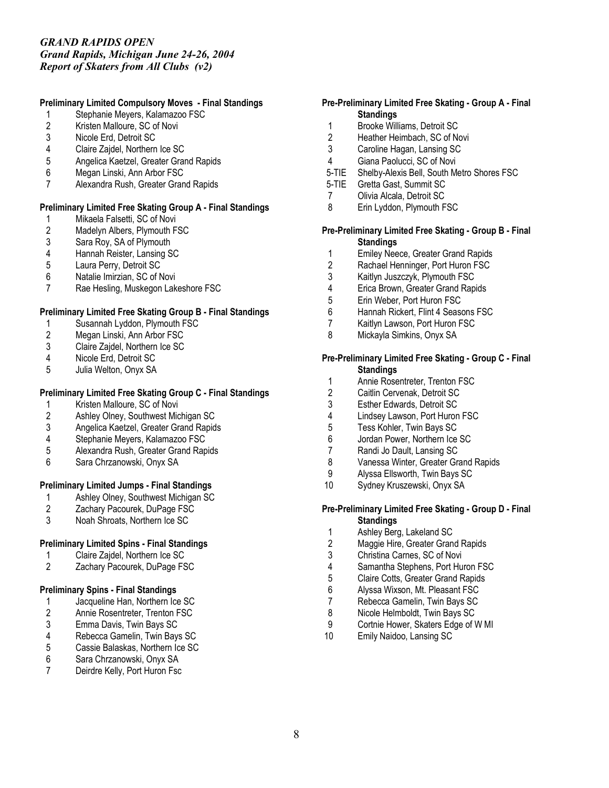# *GRAND RAPIDS OPEN Grand Rapids, Michigan June 24-26, 2004 Report of Skaters from All Clubs (v2)*

# **Preliminary Limited Compulsory Moves - Final Standings**

- 1 Stephanie Meyers, Kalamazoo FSC
- 2 Kristen Malloure, SC of Novi<br>3 Nicole Erd. Detroit SC
- Nicole Erd, Detroit SC
- 4 Claire Zajdel, Northern Ice SC
- 5 Angelica Kaetzel, Greater Grand Rapids
- 6 Megan Linski, Ann Arbor FSC
- 7 Alexandra Rush, Greater Grand Rapids

# **Preliminary Limited Free Skating Group A - Final Standings**

- 1 Mikaela Falsetti, SC of Novi<br>2 Madelyn Albers, Plymouth F
- 2 Madelyn Albers, Plymouth FSC<br>3 Sara Rov. SA of Plymouth
- Sara Roy, SA of Plymouth
- 4 Hannah Reister, Lansing SC<br>5 Laura Perry. Detroit SC
- Laura Perry, Detroit SC
- 6 Natalie Imirzian, SC of Novi
- Rae Hesling, Muskegon Lakeshore FSC

# **Preliminary Limited Free Skating Group B - Final Standings**

- 1 Susannah Lyddon, Plymouth FSC<br>2 Megan Linski, Ann Arbor FSC
- 2 Megan Linski, Ann Arbor FSC<br>3 Claire Zaidel. Northern Ice SC
- Claire Zaidel, Northern Ice SC
- 
- 4 Nicole Erd, Detroit SC<br>5 Julia Welton. Onvx SA 5 Julia Welton, Onyx SA

# **Preliminary Limited Free Skating Group C - Final Standings**

- 1 Kristen Malloure, SC of Novi<br>2 Ashley Olney, Southwest Mic
- 2 Ashley Olney, Southwest Michigan SC<br>3 Angelica Kaetzel, Greater Grand Rapid
- 3 Angelica Kaetzel, Greater Grand Rapids<br>4 Stephanie Mevers. Kalamazoo FSC
- Stephanie Meyers, Kalamazoo FSC
- 5 Alexandra Rush, Greater Grand Rapids
- 6 Sara Chrzanowski, Onyx SA

# **Preliminary Limited Jumps - Final Standings**

- 
- 1 Ashley Olney, Southwest Michigan SC<br>2 Zachary Pacourek, DuPage FSC 2 Zachary Pacourek, DuPage FSC<br>3 Noah Shroats, Northern Ice SC
- 3 Noah Shroats, Northern Ice SC

# **Preliminary Limited Spins - Final Standings**

- 1 Claire Zajdel, Northern Ice SC<br>2 Zacharv Pacourek. DuPage FS
- 2 Zachary Pacourek, DuPage FSC

# **Preliminary Spins - Final Standings**

- 1 Jacqueline Han, Northern Ice SC<br>2 Annie Rosentreter, Trenton FSC
- 2 Annie Rosentreter, Trenton FSC<br>3 Emma Davis, Twin Bays SC
- 3 Emma Davis, Twin Bays SC<br>4 Rebecca Gamelin. Twin Bav
- Rebecca Gamelin, Twin Bays SC
- 5 Cassie Balaskas, Northern Ice SC
- 6 Sara Chrzanowski, Onyx SA
- 7 Deirdre Kelly, Port Huron Fsc

# **Pre-Preliminary Limited Free Skating - Group A - Final Standings**

- 1 Brooke Williams, Detroit SC<br>2 Heather Heimbach. SC of No
- Heather Heimbach, SC of Novi
- 3 Caroline Hagan, Lansing SC
- 4 Giana Paolucci, SC of Novi<br>5-TIE Shelbv-Alexis Bell. South M
- Shelby-Alexis Bell, South Metro Shores FSC
- 5-TIE Gretta Gast, Summit SC
- 7 Olivia Alcala, Detroit SC
- 8 Erin Lyddon, Plymouth FSC

### **Pre-Preliminary Limited Free Skating - Group B - Final Standings**

- 1 Emiley Neece, Greater Grand Rapids<br>2 Rachael Henninger. Port Huron FSC
- 2 Rachael Henninger, Port Huron FSC
- 3 Kaitlyn Juszczyk, Plymouth FSC
- 4 Erica Brown, Greater Grand Rapids
- 5 Erin Weber, Port Huron FSC<br>6 Hannah Rickert Flint 4 Sease
- Hannah Rickert, Flint 4 Seasons FSC
- 7 Kaitlyn Lawson, Port Huron FSC
- 8 Mickayla Simkins, Onyx SA

#### **Pre-Preliminary Limited Free Skating - Group C - Final Standings**

- 1 Annie Rosentreter, Trenton FSC
- 2 Caitlin Cervenak, Detroit SC
- 3 Esther Edwards, Detroit SC<br>4 Lindsey Lawson, Port Huron
- Lindsey Lawson, Port Huron FSC
- 5 Tess Kohler, Twin Bays SC
- 6 Jordan Power, Northern Ice SC
- 7 Randi Jo Dault, Lansing SC<br>8 Vanessa Winter Greater Gra
- Vanessa Winter, Greater Grand Rapids
- 9 Alyssa Ellsworth, Twin Bays SC
- 10 Sydney Kruszewski, Onyx SA

### **Pre-Preliminary Limited Free Skating - Group D - Final Standings**

- 1 Ashley Berg, Lakeland SC
- 2 Maggie Hire, Greater Grand Rapids
- 3 Christina Carnes, SC of Novi
- 4 Samantha Stephens, Port Huron FSC
- 5 Claire Cotts, Greater Grand Rapids
- 6 Alyssa Wixson, Mt. Pleasant FSC
- 7 Rebecca Gamelin, Twin Bays SC<br>8 Nicole Helmboldt Twin Bays SC
- Nicole Helmboldt, Twin Bays SC
- 9 Cortnie Hower, Skaters Edge of W MI
- 10 Emily Naidoo, Lansing SC